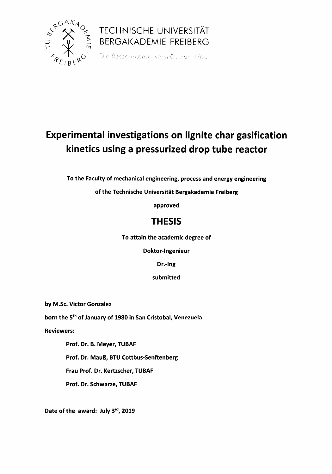

## TECHNISCHE UNIVERSITÄT **BERGAKADEMIE FREIBERG**<br>Die Ressourcenuniversität. Seit 1765.

## Experimental investigations on lignite char gasification kinetics using a pressurized drop tube reactor

To the Faculty of mechanical engineering, process and energy engineering

of the Technische Universitat Bergakademie Freiberg

approved

## THESIS

To attain the academic degree of

Doktor-lngenieur

Dr.-lng

submitted

by M.Sc. Victor Gonzalez

born the 5<sup>th</sup> of January of 1980 in San Cristobal, Venezuela

Reviewers:

Prof. Dr. B. Meyer, TUBAF Prof. Dr. MauB, BTU Cottbus-Senftenberg Frau Prof. Dr. Kertzscher, TUBAF Prof. Dr. Schwarze, TUBAF

Date of the award: July 3rd, 2019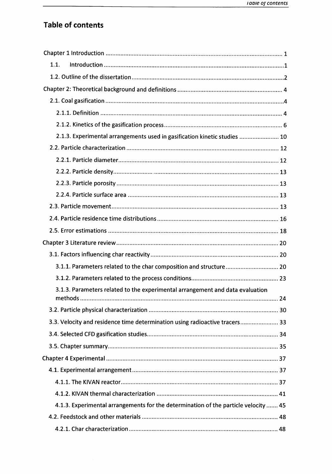## Table of contents

| 1.1.                                                                                |  |
|-------------------------------------------------------------------------------------|--|
|                                                                                     |  |
|                                                                                     |  |
|                                                                                     |  |
|                                                                                     |  |
|                                                                                     |  |
| 2.1.3. Experimental arrangements used in gasification kinetic studies  10           |  |
|                                                                                     |  |
|                                                                                     |  |
|                                                                                     |  |
|                                                                                     |  |
|                                                                                     |  |
|                                                                                     |  |
|                                                                                     |  |
|                                                                                     |  |
|                                                                                     |  |
|                                                                                     |  |
| 3.1.1. Parameters related to the char composition and structure 20                  |  |
|                                                                                     |  |
| 3.1.3. Parameters related to the experimental arrangement and data evaluation       |  |
|                                                                                     |  |
|                                                                                     |  |
| 3.3. Velocity and residence time determination using radioactive tracers 33         |  |
|                                                                                     |  |
|                                                                                     |  |
|                                                                                     |  |
|                                                                                     |  |
|                                                                                     |  |
|                                                                                     |  |
| 4.1.3. Experimental arrangements for the determination of the particle velocity  45 |  |
|                                                                                     |  |
|                                                                                     |  |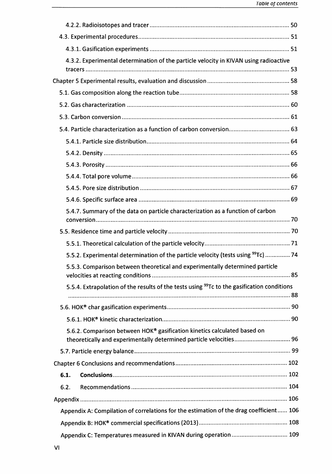| 4.3.2. Experimental determination of the particle velocity in KIVAN using radioactive                  |  |
|--------------------------------------------------------------------------------------------------------|--|
|                                                                                                        |  |
|                                                                                                        |  |
|                                                                                                        |  |
|                                                                                                        |  |
|                                                                                                        |  |
|                                                                                                        |  |
|                                                                                                        |  |
|                                                                                                        |  |
|                                                                                                        |  |
|                                                                                                        |  |
|                                                                                                        |  |
|                                                                                                        |  |
| 5.4.7. Summary of the data on particle characterization as a function of carbon                        |  |
|                                                                                                        |  |
|                                                                                                        |  |
|                                                                                                        |  |
| 5.5.2. Experimental determination of the particle velocity (tests using <sup>99</sup> Tc)  74          |  |
| 5.5.3. Comparison between theoretical and experimentally determined particle                           |  |
| 5.5.4. Extrapolation of the results of the tests using <sup>99</sup> Tc to the gasification conditions |  |
|                                                                                                        |  |
|                                                                                                        |  |
|                                                                                                        |  |
| 5.6.2. Comparison between HOK® gasification kinetics calculated based on                               |  |
|                                                                                                        |  |
|                                                                                                        |  |
|                                                                                                        |  |
| 6.1.                                                                                                   |  |
| 6.2.                                                                                                   |  |
|                                                                                                        |  |
| Appendix A: Compilation of correlations for the estimation of the drag coefficient 106                 |  |
|                                                                                                        |  |
| Appendix C: Temperatures measured in KIVAN during operation 109                                        |  |